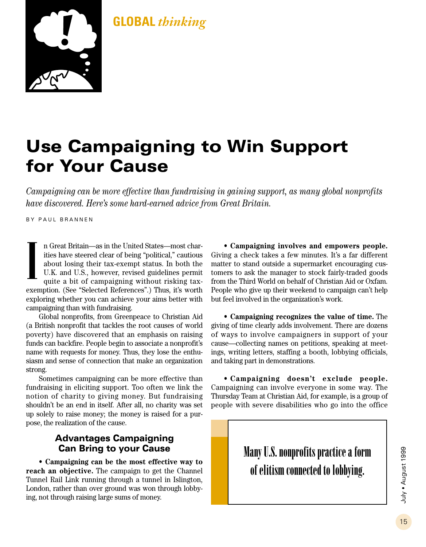### **GLOBAL** *thinking*



## **Use Campaigning to Win Support for Your Cause**

*Campaigning can be more effective than fundraising in gaining support, as many global nonprofits have discovered. Here's some hard-earned advice from Great Britain.*

BY PAUL BRANNEN

n Great Britain—as in the United States—most charities have steered clear of being "political," cautious about losing their tax-exempt status. In both the U.K. and U.S., however, revised guidelines permit quite a bit of campaigning without risking taxexemption. (See "Selected References".) Thus, it's worth exploring whether you can achieve your aims better with campaigning than with fundraising. **I**

Global nonprofits, from Greenpeace to Christian Aid (a British nonprofit that tackles the root causes of world poverty) have discovered that an emphasis on raising funds can backfire. People begin to associate a nonprofit's name with requests for money. Thus, they lose the enthusiasm and sense of connection that make an organization strong.

Sometimes campaigning can be more effective than fundraising in eliciting support. Too often we link the notion of charity to giving money. But fundraising shouldn't be an end in itself. After all, no charity was set up solely to raise money; the money is raised for a purpose, the realization of the cause.

#### **Advantages Campaigning Can Bring to your Cause**

**• Campaigning can be the most effective way to reach an objective.** The campaign to get the Channel Tunnel Rail Link running through a tunnel in Islington, London, rather than over ground was won through lobbying, not through raising large sums of money.

**• Campaigning involves and empowers people.** Giving a check takes a few minutes. It's a far different matter to stand outside a supermarket encouraging customers to ask the manager to stock fairly-traded goods from the Third World on behalf of Christian Aid or Oxfam. People who give up their weekend to campaign can't help but feel involved in the organization's work.

**• Campaigning recognizes the value of time.** The giving of time clearly adds involvement. There are dozens of ways to involve campaigners in support of your cause—collecting names on petitions, speaking at meetings, writing letters, staffing a booth, lobbying officials, and taking part in demonstrations.

**• Campaigning doesn't exclude people.** Campaigning can involve everyone in some way. The Thursday Team at Christian Aid, for example, is a group of people with severe disabilities who go into the office

> **Many U.S. nonprofits practice a form of elitism connected to lobbying.**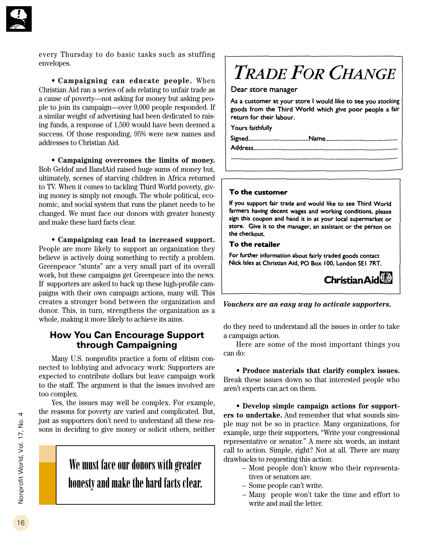

every Thursday to do basic tasks such as stuffing envelopes.

**• Campaigning can educate people.** When Christian Aid ran a series of ads relating to unfair trade as a cause of poverty—not asking for money but asking people to join its campaign—over 9,000 people responded. If a similar weight of advertising had been dedicated to raising funds, a response of 1,500 would have been deemed a success. Of those responding, 95% were new names and addresses to Christian Aid.

**• Campaigning overcomes the limits of money.** Bob Geldof and BandAid raised huge sums of money but, ultimately, scenes of starving children in Africa returned to TV. When it comes to tackling Third World poverty, giving money is simply not enough. The whole political, economic, and social system that runs the planet needs to be changed. We must face our donors with greater honesty and make these hard facts clear.

**• Campaigning can lead to increased support.** People are more likely to support an organization they believe is actively doing something to rectify a problem. Greenpeace "stunts" are a very small part of its overall work, but these campaigns get Greenpeace into the news. If supporters are asked to back up these high-profile campaigns with their own campaign actions, many will. This creates a stronger bond between the organization and donor. This, in turn, strengthens the organization as a whole, making it more likely to achieve its aims.

#### **How You Can Encourage Support through Campaigning**

Many U.S. nonprofits practice a form of elitism connected to lobbying and advocacy work: Supporters are expected to contribute dollars but leave campaign work to the staff. The argument is that the issues involved are too complex.

Yes, the issues may well be complex. For example, the reasons for poverty are varied and complicated. But, just as supporters don't need to understand all these reasons in deciding to give money or solicit others, neither

## **We must face our donors with greater honesty and make the hard facts clear.**

# **TRADE FOR CHANGE**

#### Dear store manager

As a customer at your store I would like to see you stocking goods from the Third World which give poor people a fair return for their labour.

Yours faithfully

#### To the customer

If you support fair trade and would like to see Third World farmers having decent wages and working conditions, please sign this coupon and hand it in at your local supermarket or store. Give it to the manager, an assistant or the person on the checkout.

#### To the retailer

For further information about fairly traded goods contact Nick Isles at Christian Aid. PO Box 100. London SEI 7RT.



#### *Vouchers are an easy way to activate supporters.*

do they need to understand all the issues in order to take a campaign action.

Here are some of the most important things you can do:

**• Produce materials that clarify complex issues.** Break these issues down so that interested people who aren't experts can act on them.

**• Develop simple campaign actions for supporters to undertake.** And remember that what sounds simple may not be so in practice. Many organizations, for example, urge their supporters, "Write your congressional representative or senator." A mere six words, an instant call to action. Simple, right? Not at all. There are many drawbacks to requesting this action:

- Most people don't know who their representatives or senators are.
- Some people can't write.
- Many people won't take the time and effort to write and mail the letter.